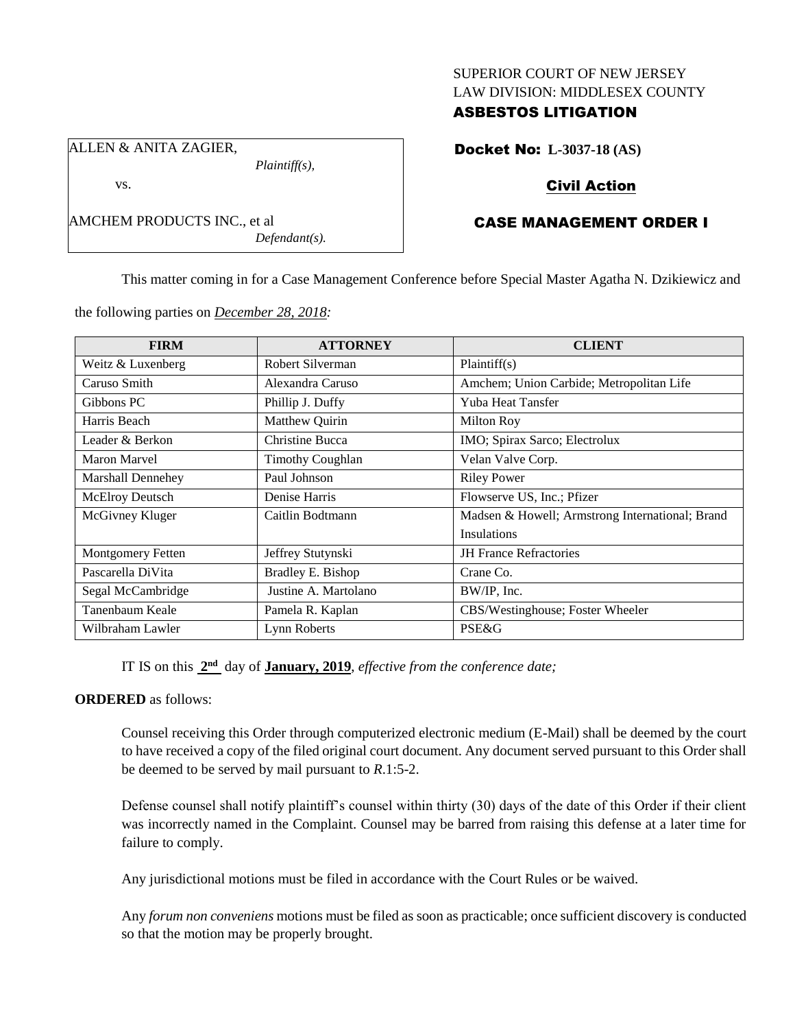#### SUPERIOR COURT OF NEW JERSEY LAW DIVISION: MIDDLESEX COUNTY

## ASBESTOS LITIGATION

Docket No: **L-3037-18 (AS)**

# Civil Action

# CASE MANAGEMENT ORDER I

This matter coming in for a Case Management Conference before Special Master Agatha N. Dzikiewicz and

the following parties on *December 28, 2018:*

*Plaintiff(s),*

*Defendant(s).*

| <b>FIRM</b>              | <b>ATTORNEY</b>         | <b>CLIENT</b>                                   |
|--------------------------|-------------------------|-------------------------------------------------|
| Weitz & Luxenberg        | Robert Silverman        | Plaintiff(s)                                    |
| Caruso Smith             | Alexandra Caruso        | Amchem; Union Carbide; Metropolitan Life        |
| Gibbons PC               | Phillip J. Duffy        | <b>Yuba Heat Tansfer</b>                        |
| Harris Beach             | Matthew Quirin          | Milton Roy                                      |
| Leader & Berkon          | Christine Bucca         | IMO; Spirax Sarco; Electrolux                   |
| Maron Marvel             | <b>Timothy Coughlan</b> | Velan Valve Corp.                               |
| Marshall Dennehey        | Paul Johnson            | <b>Riley Power</b>                              |
| McElroy Deutsch          | Denise Harris           | Flowserve US, Inc.; Pfizer                      |
| McGivney Kluger          | Caitlin Bodtmann        | Madsen & Howell; Armstrong International; Brand |
|                          |                         | <b>Insulations</b>                              |
| <b>Montgomery Fetten</b> | Jeffrey Stutynski       | <b>JH</b> France Refractories                   |
| Pascarella DiVita        | Bradley E. Bishop       | Crane Co.                                       |
| Segal McCambridge        | Justine A. Martolano    | BW/IP, Inc.                                     |
| Tanenbaum Keale          | Pamela R. Kaplan        | CBS/Westinghouse; Foster Wheeler                |
| Wilbraham Lawler         | Lynn Roberts            | PSE&G                                           |

IT IS on this  $2<sup>nd</sup>$  day of **January, 2019**, *effective from the conference date*;

## **ORDERED** as follows:

Counsel receiving this Order through computerized electronic medium (E-Mail) shall be deemed by the court to have received a copy of the filed original court document. Any document served pursuant to this Order shall be deemed to be served by mail pursuant to *R*.1:5-2.

Defense counsel shall notify plaintiff's counsel within thirty (30) days of the date of this Order if their client was incorrectly named in the Complaint. Counsel may be barred from raising this defense at a later time for failure to comply.

Any jurisdictional motions must be filed in accordance with the Court Rules or be waived.

Any *forum non conveniens* motions must be filed as soon as practicable; once sufficient discovery is conducted so that the motion may be properly brought.

ALLEN & ANITA ZAGIER,

AMCHEM PRODUCTS INC., et al

vs.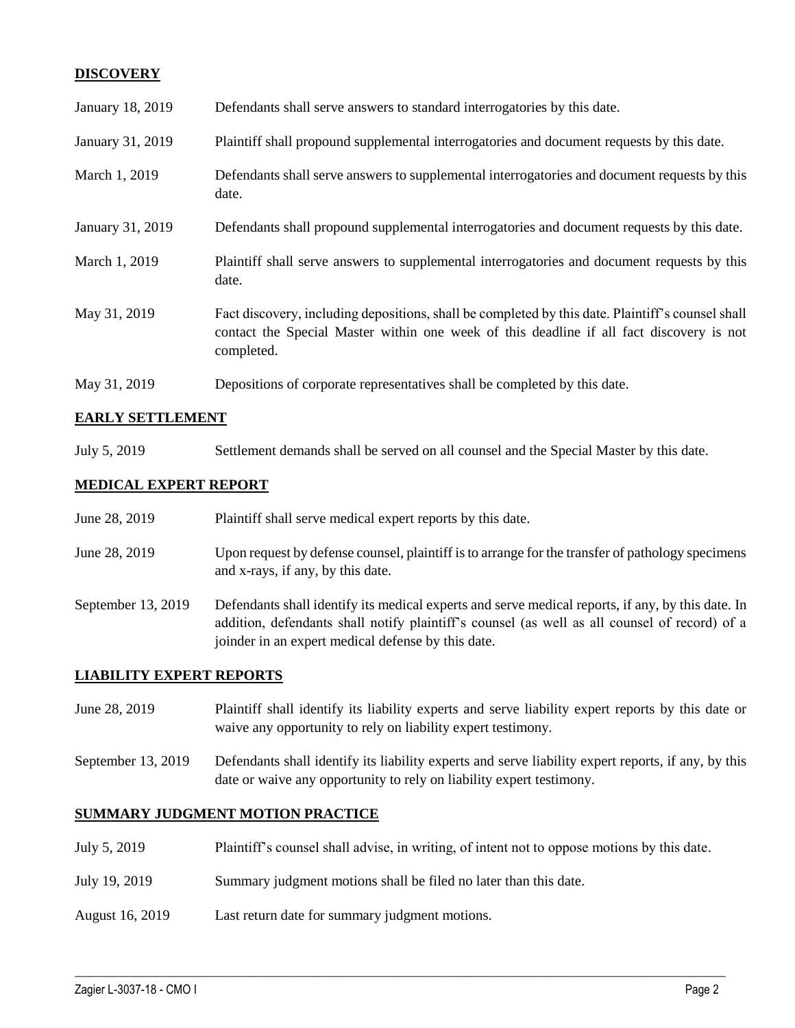## **DISCOVERY**

| January 18, 2019 | Defendants shall serve answers to standard interrogatories by this date.                                                                                                                                    |
|------------------|-------------------------------------------------------------------------------------------------------------------------------------------------------------------------------------------------------------|
| January 31, 2019 | Plaintiff shall propound supplemental interrogatories and document requests by this date.                                                                                                                   |
| March 1, 2019    | Defendants shall serve answers to supplemental interrogatories and document requests by this<br>date.                                                                                                       |
| January 31, 2019 | Defendants shall propound supplemental interrogatories and document requests by this date.                                                                                                                  |
| March 1, 2019    | Plaintiff shall serve answers to supplemental interrogatories and document requests by this<br>date.                                                                                                        |
| May 31, 2019     | Fact discovery, including depositions, shall be completed by this date. Plaintiff's counsel shall<br>contact the Special Master within one week of this deadline if all fact discovery is not<br>completed. |
| May 31, 2019     | Depositions of corporate representatives shall be completed by this date.                                                                                                                                   |

## **EARLY SETTLEMENT**

July 5, 2019 Settlement demands shall be served on all counsel and the Special Master by this date.

### **MEDICAL EXPERT REPORT**

| June 28, 2019      | Plaintiff shall serve medical expert reports by this date.                                                                                                                                                                                               |
|--------------------|----------------------------------------------------------------------------------------------------------------------------------------------------------------------------------------------------------------------------------------------------------|
| June 28, 2019      | Upon request by defense counsel, plaintiff is to arrange for the transfer of pathology specimens<br>and x-rays, if any, by this date.                                                                                                                    |
| September 13, 2019 | Defendants shall identify its medical experts and serve medical reports, if any, by this date. In<br>addition, defendants shall notify plaintiff's counsel (as well as all counsel of record) of a<br>joinder in an expert medical defense by this date. |

#### **LIABILITY EXPERT REPORTS**

- June 28, 2019 Plaintiff shall identify its liability experts and serve liability expert reports by this date or waive any opportunity to rely on liability expert testimony.
- September 13, 2019 Defendants shall identify its liability experts and serve liability expert reports, if any, by this date or waive any opportunity to rely on liability expert testimony.

#### **SUMMARY JUDGMENT MOTION PRACTICE**

July 5, 2019 Plaintiff's counsel shall advise, in writing, of intent not to oppose motions by this date.

 $\_$  ,  $\_$  ,  $\_$  ,  $\_$  ,  $\_$  ,  $\_$  ,  $\_$  ,  $\_$  ,  $\_$  ,  $\_$  ,  $\_$  ,  $\_$  ,  $\_$  ,  $\_$  ,  $\_$  ,  $\_$  ,  $\_$  ,  $\_$  ,  $\_$  ,  $\_$  ,  $\_$  ,  $\_$  ,  $\_$  ,  $\_$  ,  $\_$  ,  $\_$  ,  $\_$  ,  $\_$  ,  $\_$  ,  $\_$  ,  $\_$  ,  $\_$  ,  $\_$  ,  $\_$  ,  $\_$  ,  $\_$  ,  $\_$  ,

- July 19, 2019 Summary judgment motions shall be filed no later than this date.
- August 16, 2019 Last return date for summary judgment motions.